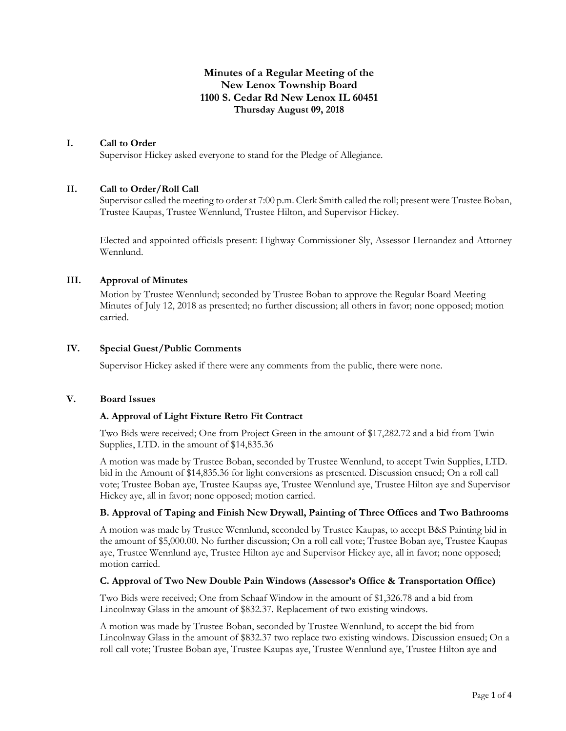# **Minutes of a Regular Meeting of the New Lenox Township Board 1100 S. Cedar Rd New Lenox IL 60451 Thursday August 09, 2018**

### **I. Call to Order**

Supervisor Hickey asked everyone to stand for the Pledge of Allegiance.

#### **II. Call to Order/Roll Call**

Supervisor called the meeting to order at 7:00 p.m. Clerk Smith called the roll; present were Trustee Boban, Trustee Kaupas, Trustee Wennlund, Trustee Hilton, and Supervisor Hickey.

Elected and appointed officials present: Highway Commissioner Sly, Assessor Hernandez and Attorney Wennlund.

## **III. Approval of Minutes**

Motion by Trustee Wennlund; seconded by Trustee Boban to approve the Regular Board Meeting Minutes of July 12, 2018 as presented; no further discussion; all others in favor; none opposed; motion carried.

#### **IV. Special Guest/Public Comments**

Supervisor Hickey asked if there were any comments from the public, there were none.

#### **V. Board Issues**

### **A. Approval of Light Fixture Retro Fit Contract**

Two Bids were received; One from Project Green in the amount of \$17,282.72 and a bid from Twin Supplies, LTD. in the amount of \$14,835.36

A motion was made by Trustee Boban, seconded by Trustee Wennlund, to accept Twin Supplies, LTD. bid in the Amount of \$14,835.36 for light conversions as presented. Discussion ensued; On a roll call vote; Trustee Boban aye, Trustee Kaupas aye, Trustee Wennlund aye, Trustee Hilton aye and Supervisor Hickey aye, all in favor; none opposed; motion carried.

### **B. Approval of Taping and Finish New Drywall, Painting of Three Offices and Two Bathrooms**

A motion was made by Trustee Wennlund, seconded by Trustee Kaupas, to accept B&S Painting bid in the amount of \$5,000.00. No further discussion; On a roll call vote; Trustee Boban aye, Trustee Kaupas aye, Trustee Wennlund aye, Trustee Hilton aye and Supervisor Hickey aye, all in favor; none opposed; motion carried.

#### **C. Approval of Two New Double Pain Windows (Assessor's Office & Transportation Office)**

Two Bids were received; One from Schaaf Window in the amount of \$1,326.78 and a bid from Lincolnway Glass in the amount of \$832.37. Replacement of two existing windows.

A motion was made by Trustee Boban, seconded by Trustee Wennlund, to accept the bid from Lincolnway Glass in the amount of \$832.37 two replace two existing windows. Discussion ensued; On a roll call vote; Trustee Boban aye, Trustee Kaupas aye, Trustee Wennlund aye, Trustee Hilton aye and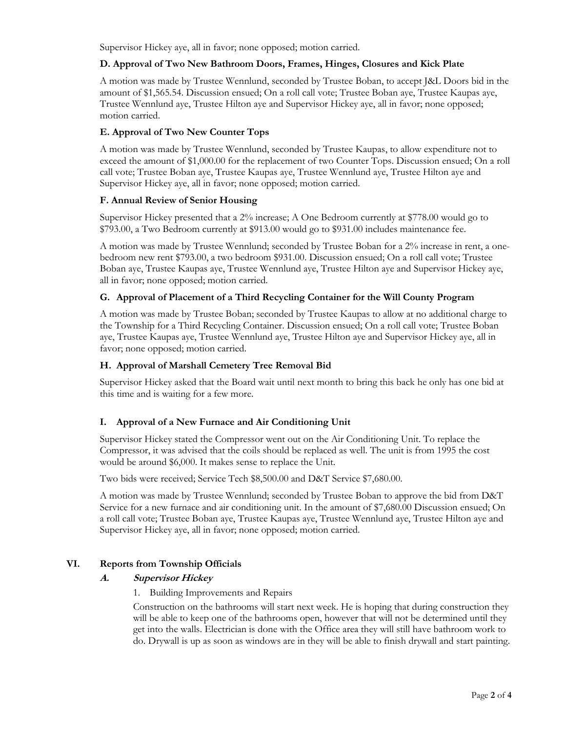Supervisor Hickey aye, all in favor; none opposed; motion carried.

## **D. Approval of Two New Bathroom Doors, Frames, Hinges, Closures and Kick Plate**

A motion was made by Trustee Wennlund, seconded by Trustee Boban, to accept J&L Doors bid in the amount of \$1,565.54. Discussion ensued; On a roll call vote; Trustee Boban aye, Trustee Kaupas aye, Trustee Wennlund aye, Trustee Hilton aye and Supervisor Hickey aye, all in favor; none opposed; motion carried.

## **E. Approval of Two New Counter Tops**

A motion was made by Trustee Wennlund, seconded by Trustee Kaupas, to allow expenditure not to exceed the amount of \$1,000.00 for the replacement of two Counter Tops. Discussion ensued; On a roll call vote; Trustee Boban aye, Trustee Kaupas aye, Trustee Wennlund aye, Trustee Hilton aye and Supervisor Hickey aye, all in favor; none opposed; motion carried.

### **F. Annual Review of Senior Housing**

Supervisor Hickey presented that a 2% increase; A One Bedroom currently at \$778.00 would go to \$793.00, a Two Bedroom currently at \$913.00 would go to \$931.00 includes maintenance fee.

A motion was made by Trustee Wennlund; seconded by Trustee Boban for a 2% increase in rent, a onebedroom new rent \$793.00, a two bedroom \$931.00. Discussion ensued; On a roll call vote; Trustee Boban aye, Trustee Kaupas aye, Trustee Wennlund aye, Trustee Hilton aye and Supervisor Hickey aye, all in favor; none opposed; motion carried.

### **G. Approval of Placement of a Third Recycling Container for the Will County Program**

A motion was made by Trustee Boban; seconded by Trustee Kaupas to allow at no additional charge to the Township for a Third Recycling Container. Discussion ensued; On a roll call vote; Trustee Boban aye, Trustee Kaupas aye, Trustee Wennlund aye, Trustee Hilton aye and Supervisor Hickey aye, all in favor; none opposed; motion carried.

## **H. Approval of Marshall Cemetery Tree Removal Bid**

Supervisor Hickey asked that the Board wait until next month to bring this back he only has one bid at this time and is waiting for a few more.

# **I. Approval of a New Furnace and Air Conditioning Unit**

Supervisor Hickey stated the Compressor went out on the Air Conditioning Unit. To replace the Compressor, it was advised that the coils should be replaced as well. The unit is from 1995 the cost would be around \$6,000. It makes sense to replace the Unit.

Two bids were received; Service Tech \$8,500.00 and D&T Service \$7,680.00.

A motion was made by Trustee Wennlund; seconded by Trustee Boban to approve the bid from D&T Service for a new furnace and air conditioning unit. In the amount of \$7,680.00 Discussion ensued; On a roll call vote; Trustee Boban aye, Trustee Kaupas aye, Trustee Wennlund aye, Trustee Hilton aye and Supervisor Hickey aye, all in favor; none opposed; motion carried.

### **VI. Reports from Township Officials**

### **A. Supervisor Hickey**

1. Building Improvements and Repairs

Construction on the bathrooms will start next week. He is hoping that during construction they will be able to keep one of the bathrooms open, however that will not be determined until they get into the walls. Electrician is done with the Office area they will still have bathroom work to do. Drywall is up as soon as windows are in they will be able to finish drywall and start painting.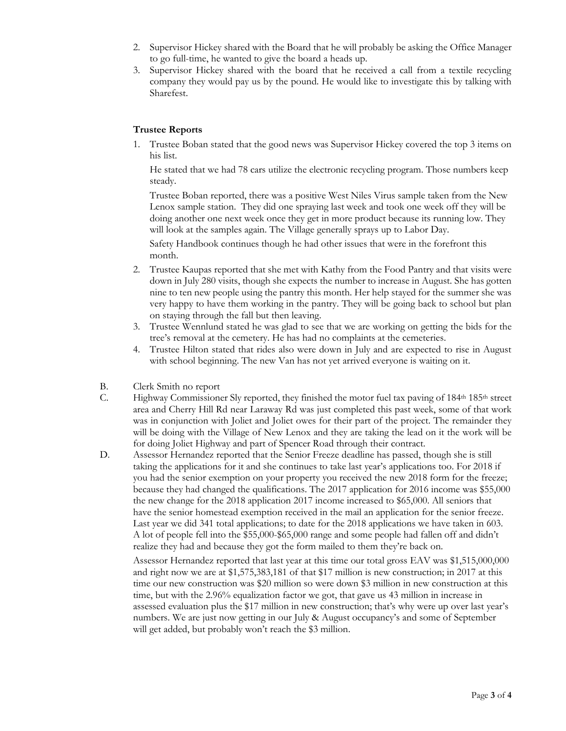- 2. Supervisor Hickey shared with the Board that he will probably be asking the Office Manager to go full-time, he wanted to give the board a heads up.
- 3. Supervisor Hickey shared with the board that he received a call from a textile recycling company they would pay us by the pound. He would like to investigate this by talking with Sharefest.

## **Trustee Reports**

1. Trustee Boban stated that the good news was Supervisor Hickey covered the top 3 items on his list.

He stated that we had 78 cars utilize the electronic recycling program. Those numbers keep steady.

Trustee Boban reported, there was a positive West Niles Virus sample taken from the New Lenox sample station. They did one spraying last week and took one week off they will be doing another one next week once they get in more product because its running low. They will look at the samples again. The Village generally sprays up to Labor Day.

Safety Handbook continues though he had other issues that were in the forefront this month.

- 2. Trustee Kaupas reported that she met with Kathy from the Food Pantry and that visits were down in July 280 visits, though she expects the number to increase in August. She has gotten nine to ten new people using the pantry this month. Her help stayed for the summer she was very happy to have them working in the pantry. They will be going back to school but plan on staying through the fall but then leaving.
- 3. Trustee Wennlund stated he was glad to see that we are working on getting the bids for the tree's removal at the cemetery. He has had no complaints at the cemeteries.
- 4. Trustee Hilton stated that rides also were down in July and are expected to rise in August with school beginning. The new Van has not yet arrived everyone is waiting on it.
- B. Clerk Smith no report
- C. Highway Commissioner Sly reported, they finished the motor fuel tax paving of 184<sup>th</sup> 185<sup>th</sup> street area and Cherry Hill Rd near Laraway Rd was just completed this past week, some of that work was in conjunction with Joliet and Joliet owes for their part of the project. The remainder they will be doing with the Village of New Lenox and they are taking the lead on it the work will be for doing Joliet Highway and part of Spencer Road through their contract.
- D. Assessor Hernandez reported that the Senior Freeze deadline has passed, though she is still taking the applications for it and she continues to take last year's applications too. For 2018 if you had the senior exemption on your property you received the new 2018 form for the freeze; because they had changed the qualifications. The 2017 application for 2016 income was \$55,000 the new change for the 2018 application 2017 income increased to \$65,000. All seniors that have the senior homestead exemption received in the mail an application for the senior freeze. Last year we did 341 total applications; to date for the 2018 applications we have taken in 603. A lot of people fell into the \$55,000-\$65,000 range and some people had fallen off and didn't realize they had and because they got the form mailed to them they're back on.

Assessor Hernandez reported that last year at this time our total gross EAV was \$1,515,000,000 and right now we are at \$1,575,383,181 of that \$17 million is new construction; in 2017 at this time our new construction was \$20 million so were down \$3 million in new construction at this time, but with the 2.96% equalization factor we got, that gave us 43 million in increase in assessed evaluation plus the \$17 million in new construction; that's why were up over last year's numbers. We are just now getting in our July & August occupancy's and some of September will get added, but probably won't reach the \$3 million.